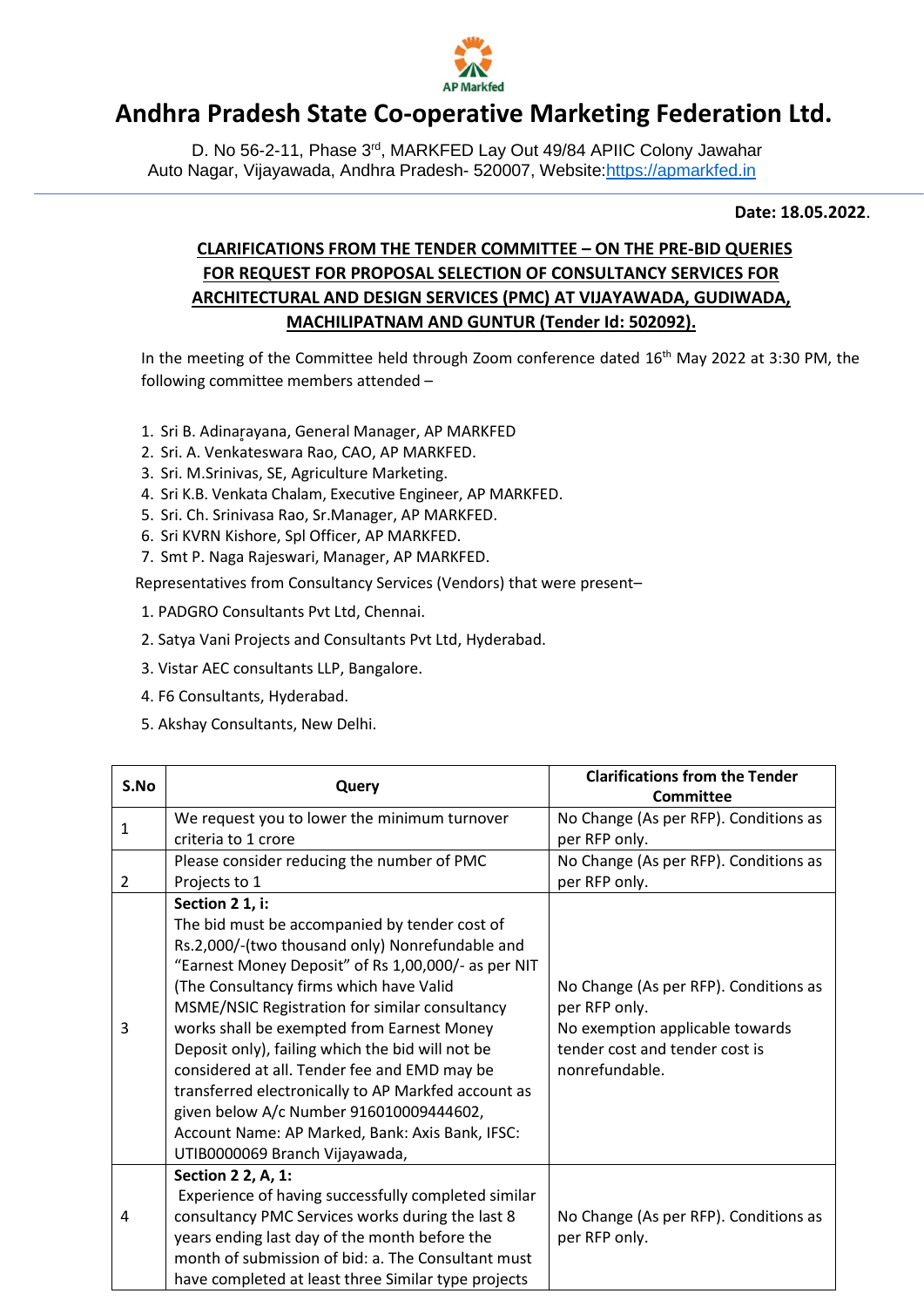

## **Andhra Pradesh State Co-operative Marketing Federation Ltd.**

D. No 56-2-11, Phase 3<sup>rd</sup>, MARKFED Lay Out 49/84 APIIC Colony Jawahar Auto Nagar, Vijayawada, Andhra Pradesh- 520007, Website[:https://apmarkfed.in](https://apmarkfed.in/)

**Date: 18.05.2022**.

## **CLARIFICATIONS FROM THE TENDER COMMITTEE – ON THE PRE-BID QUERIES FOR REQUEST FOR PROPOSAL SELECTION OF CONSULTANCY SERVICES FOR ARCHITECTURAL AND DESIGN SERVICES (PMC) AT VIJAYAWADA, GUDIWADA, MACHILIPATNAM AND GUNTUR (Tender Id: 502092).**

In the meeting of the Committee held through Zoom conference dated 16<sup>th</sup> May 2022 at 3:30 PM, the following committee members attended –

- 1. Sri B. Adinarayana, General Manager, AP MARKFED
- 2. Sri. A. Venkateswara Rao, CAO, AP MARKFED.
- 3. Sri. M.Srinivas, SE, Agriculture Marketing.
- 4. Sri K.B. Venkata Chalam, Executive Engineer, AP MARKFED.
- 5. Sri. Ch. Srinivasa Rao, Sr.Manager, AP MARKFED.
- 6. Sri KVRN Kishore, Spl Officer, AP MARKFED.
- 7. Smt P. Naga Rajeswari, Manager, AP MARKFED.

Representatives from Consultancy Services (Vendors) that were present–

- 1. PADGRO Consultants Pvt Ltd, Chennai.
- 2. Satya Vani Projects and Consultants Pvt Ltd, Hyderabad.
- 3. Vistar AEC consultants LLP, Bangalore.
- 4. F6 Consultants, Hyderabad.
- 5. Akshay Consultants, New Delhi.

| S.No         | Query                                               | <b>Clarifications from the Tender</b> |
|--------------|-----------------------------------------------------|---------------------------------------|
|              |                                                     | Committee                             |
| $\mathbf{1}$ | We request you to lower the minimum turnover        | No Change (As per RFP). Conditions as |
|              | criteria to 1 crore                                 | per RFP only.                         |
|              | Please consider reducing the number of PMC          | No Change (As per RFP). Conditions as |
| 2            | Projects to 1                                       | per RFP only.                         |
|              | Section 2 1, i:                                     |                                       |
|              | The bid must be accompanied by tender cost of       |                                       |
|              | Rs.2,000/-(two thousand only) Nonrefundable and     |                                       |
|              | "Earnest Money Deposit" of Rs 1,00,000/- as per NIT |                                       |
|              | (The Consultancy firms which have Valid             | No Change (As per RFP). Conditions as |
|              | MSME/NSIC Registration for similar consultancy      | per RFP only.                         |
| 3            | works shall be exempted from Earnest Money          | No exemption applicable towards       |
|              | Deposit only), failing which the bid will not be    | tender cost and tender cost is        |
|              | considered at all. Tender fee and EMD may be        | nonrefundable.                        |
|              | transferred electronically to AP Markfed account as |                                       |
|              | given below A/c Number 916010009444602,             |                                       |
|              | Account Name: AP Marked, Bank: Axis Bank, IFSC:     |                                       |
|              | UTIB0000069 Branch Vijayawada,                      |                                       |
|              | Section 2 2, A, 1:                                  |                                       |
|              | Experience of having successfully completed similar |                                       |
| 4            | consultancy PMC Services works during the last 8    | No Change (As per RFP). Conditions as |
|              | years ending last day of the month before the       | per RFP only.                         |
|              | month of submission of bid: a. The Consultant must  |                                       |
|              | have completed at least three Similar type projects |                                       |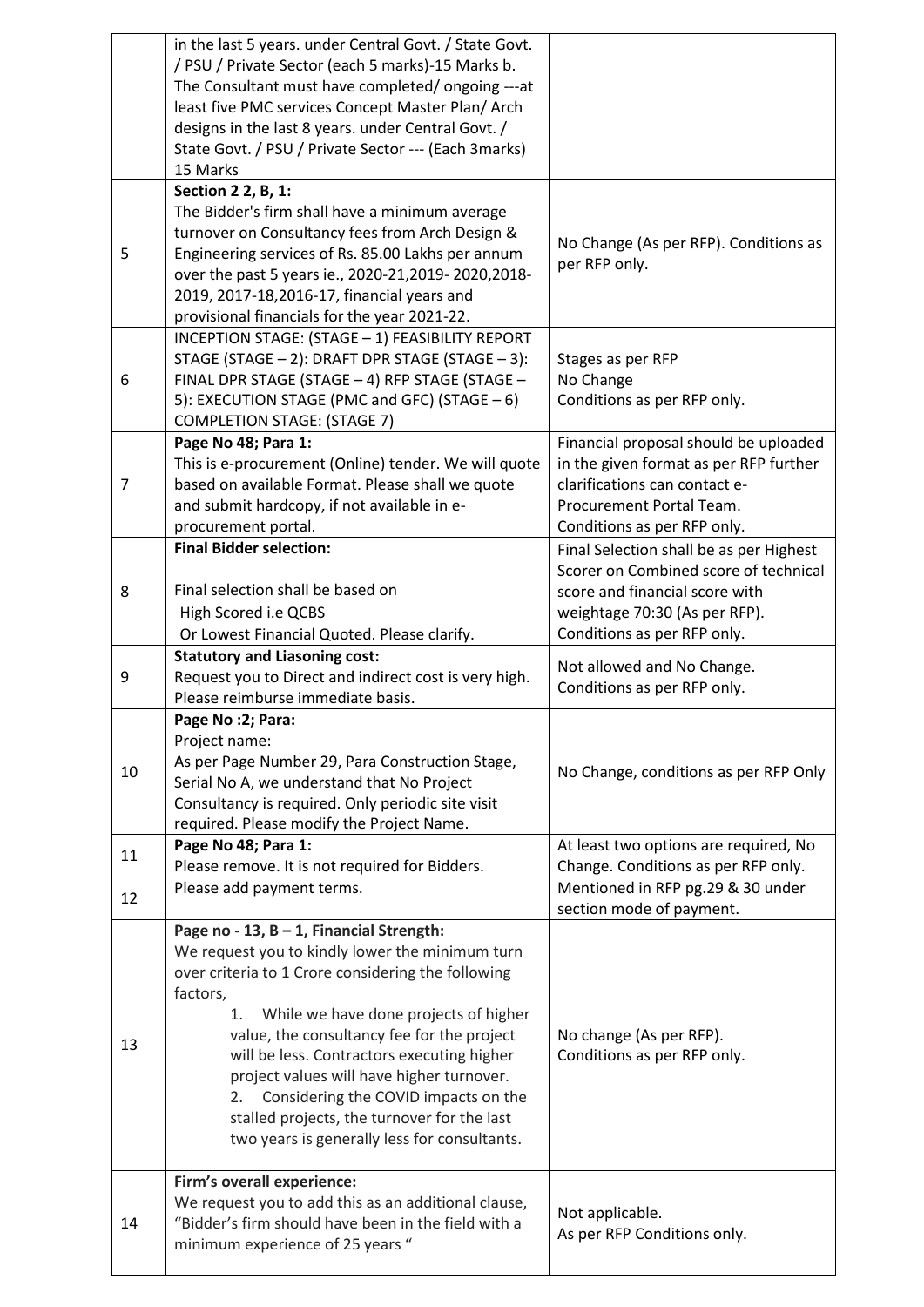|    | in the last 5 years. under Central Govt. / State Govt.<br>/ PSU / Private Sector (each 5 marks)-15 Marks b.<br>The Consultant must have completed/ongoing ---at<br>least five PMC services Concept Master Plan/ Arch<br>designs in the last 8 years. under Central Govt. /<br>State Govt. / PSU / Private Sector --- (Each 3marks)<br>15 Marks                                                                                                                                                     |                                                                                                                                                                                    |
|----|----------------------------------------------------------------------------------------------------------------------------------------------------------------------------------------------------------------------------------------------------------------------------------------------------------------------------------------------------------------------------------------------------------------------------------------------------------------------------------------------------|------------------------------------------------------------------------------------------------------------------------------------------------------------------------------------|
| 5  | Section 2 2, B, 1:<br>The Bidder's firm shall have a minimum average<br>turnover on Consultancy fees from Arch Design &<br>Engineering services of Rs. 85.00 Lakhs per annum<br>over the past 5 years ie., 2020-21,2019-2020,2018-<br>2019, 2017-18, 2016-17, financial years and<br>provisional financials for the year 2021-22.                                                                                                                                                                  | No Change (As per RFP). Conditions as<br>per RFP only.                                                                                                                             |
| 6  | INCEPTION STAGE: (STAGE - 1) FEASIBILITY REPORT<br>STAGE (STAGE - 2): DRAFT DPR STAGE (STAGE - 3):<br>FINAL DPR STAGE (STAGE - 4) RFP STAGE (STAGE -<br>5): EXECUTION STAGE (PMC and GFC) (STAGE - 6)<br><b>COMPLETION STAGE: (STAGE 7)</b>                                                                                                                                                                                                                                                        | Stages as per RFP<br>No Change<br>Conditions as per RFP only.                                                                                                                      |
| 7  | Page No 48; Para 1:<br>This is e-procurement (Online) tender. We will quote<br>based on available Format. Please shall we quote<br>and submit hardcopy, if not available in e-<br>procurement portal.                                                                                                                                                                                                                                                                                              | Financial proposal should be uploaded<br>in the given format as per RFP further<br>clarifications can contact e-<br>Procurement Portal Team.<br>Conditions as per RFP only.        |
| 8  | <b>Final Bidder selection:</b><br>Final selection shall be based on<br>High Scored i.e QCBS<br>Or Lowest Financial Quoted. Please clarify.                                                                                                                                                                                                                                                                                                                                                         | Final Selection shall be as per Highest<br>Scorer on Combined score of technical<br>score and financial score with<br>weightage 70:30 (As per RFP).<br>Conditions as per RFP only. |
| 9  | <b>Statutory and Liasoning cost:</b><br>Request you to Direct and indirect cost is very high.<br>Please reimburse immediate basis.                                                                                                                                                                                                                                                                                                                                                                 | Not allowed and No Change.<br>Conditions as per RFP only.                                                                                                                          |
| 10 | Page No : 2; Para:<br>Project name:<br>As per Page Number 29, Para Construction Stage,<br>Serial No A, we understand that No Project<br>Consultancy is required. Only periodic site visit<br>required. Please modify the Project Name.                                                                                                                                                                                                                                                             | No Change, conditions as per RFP Only                                                                                                                                              |
| 11 | Page No 48; Para 1:<br>Please remove. It is not required for Bidders.                                                                                                                                                                                                                                                                                                                                                                                                                              | At least two options are required, No<br>Change. Conditions as per RFP only.                                                                                                       |
| 12 | Please add payment terms.                                                                                                                                                                                                                                                                                                                                                                                                                                                                          | Mentioned in RFP pg.29 & 30 under<br>section mode of payment.                                                                                                                      |
| 13 | Page no - 13, B - 1, Financial Strength:<br>We request you to kindly lower the minimum turn<br>over criteria to 1 Crore considering the following<br>factors,<br>While we have done projects of higher<br>1.<br>value, the consultancy fee for the project<br>will be less. Contractors executing higher<br>project values will have higher turnover.<br>Considering the COVID impacts on the<br>2.<br>stalled projects, the turnover for the last<br>two years is generally less for consultants. | No change (As per RFP).<br>Conditions as per RFP only.                                                                                                                             |
| 14 | Firm's overall experience:<br>We request you to add this as an additional clause,<br>"Bidder's firm should have been in the field with a<br>minimum experience of 25 years "                                                                                                                                                                                                                                                                                                                       | Not applicable.<br>As per RFP Conditions only.                                                                                                                                     |